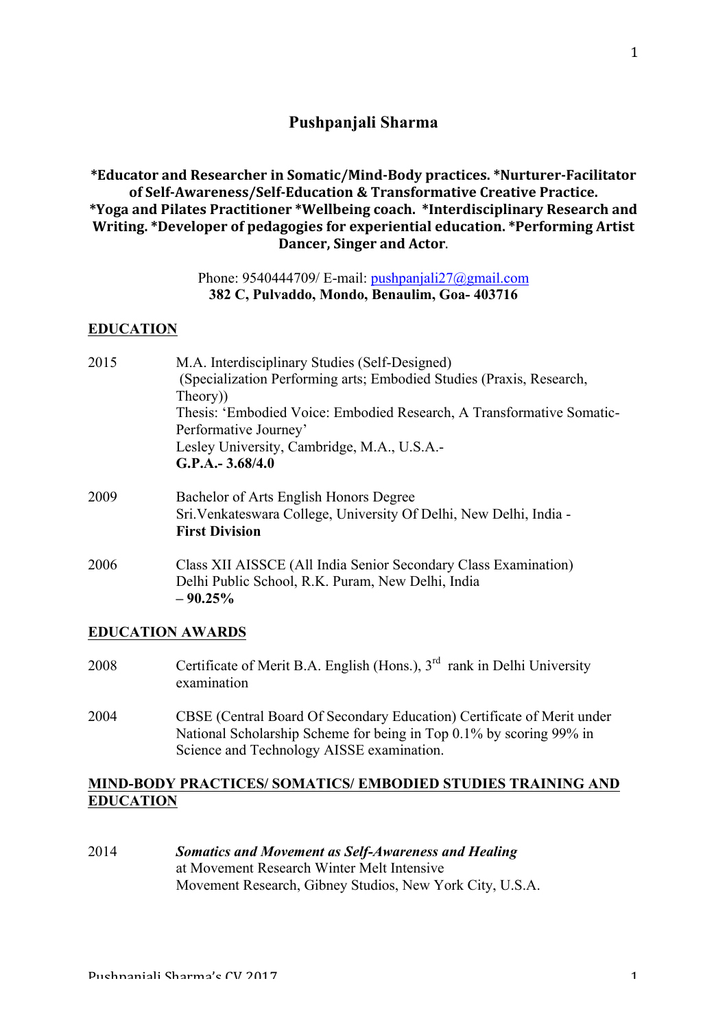# **Pushpanjali Sharma**

# \*Educator and Researcher in Somatic/Mind-Body practices. \*Nurturer-Facilitator of Self-Awareness/Self-Education & Transformative Creative Practice. \*Yoga and Pilates Practitioner \*Wellbeing coach. \*Interdisciplinary Research and Writing. \*Developer of pedagogies for experiential education. \*Performing Artist **Dancer, Singer and Actor.**

## Phone: 9540444709/ E-mail: pushpanjali27@gmail.com **382 C, Pulvaddo, Mondo, Benaulim, Goa- 403716**

#### **EDUCATION**

| 2015 | M.A. Interdisciplinary Studies (Self-Designed)                        |
|------|-----------------------------------------------------------------------|
|      | (Specialization Performing arts; Embodied Studies (Praxis, Research,  |
|      | Theory)                                                               |
|      | Thesis: 'Embodied Voice: Embodied Research, A Transformative Somatic- |
|      | Performative Journey'                                                 |
|      | Lesley University, Cambridge, M.A., U.S.A.-                           |
|      | $G.P.A.-3.68/4.0$                                                     |
| 2009 | Bachelor of Arts English Honors Degree                                |
|      | Sri. Venkateswara College, University Of Delhi, New Delhi, India -    |
|      | <b>First Division</b>                                                 |

2006 Class XII AISSCE (All India Senior Secondary Class Examination) Delhi Public School, R.K. Puram, New Delhi, India **– 90.25%**

#### **EDUCATION AWARDS**

- 2008 Certificate of Merit B.A. English (Hons.),  $3<sup>rd</sup>$  rank in Delhi University examination
- 2004 CBSE (Central Board Of Secondary Education) Certificate of Merit under National Scholarship Scheme for being in Top 0.1% by scoring 99% in Science and Technology AISSE examination.

# **MIND-BODY PRACTICES/ SOMATICS/ EMBODIED STUDIES TRAINING AND EDUCATION**

2014 *Somatics and Movement as Self-Awareness and Healing* at Movement Research Winter Melt Intensive Movement Research, Gibney Studios, New York City, U.S.A.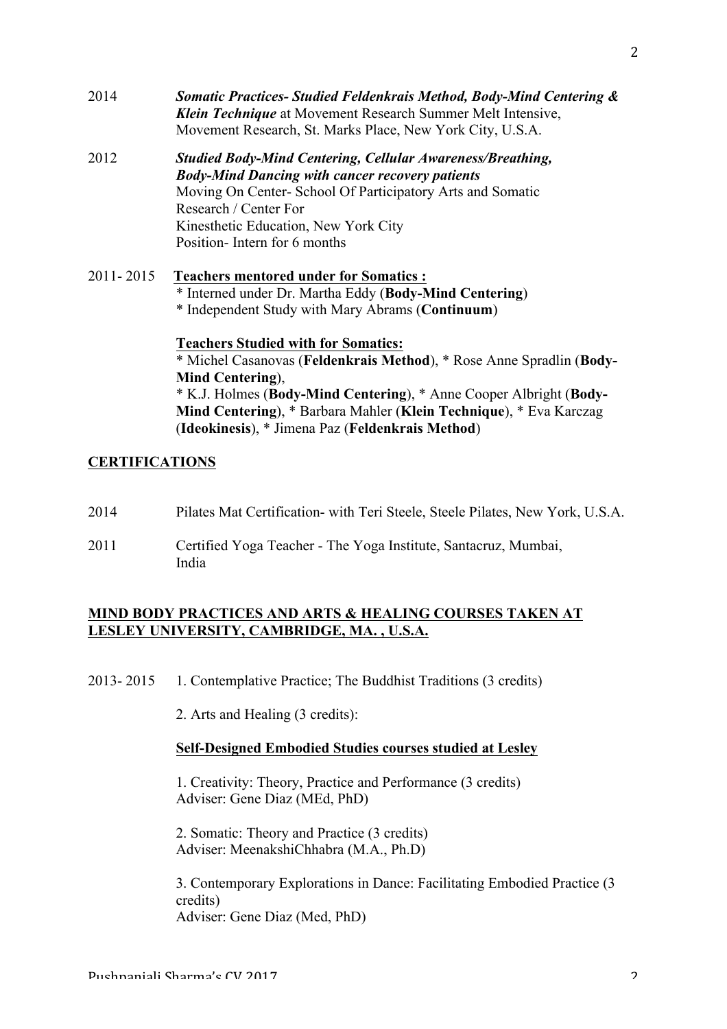- 2014 *Somatic Practices- Studied Feldenkrais Method, Body-Mind Centering & Klein Technique* at Movement Research Summer Melt Intensive, Movement Research, St. Marks Place, New York City, U.S.A.
- 2012 *Studied Body-Mind Centering, Cellular Awareness/Breathing, Body-Mind Dancing with cancer recovery patients* Moving On Center- School Of Participatory Arts and Somatic Research / Center For Kinesthetic Education, New York City Position- Intern for 6 months
- 2011- 2015 **Teachers mentored under for Somatics :** \* Interned under Dr. Martha Eddy (**Body-Mind Centering**) \* Independent Study with Mary Abrams (**Continuum**) **Teachers Studied with for Somatics:**

\* Michel Casanovas (**Feldenkrais Method**), \* Rose Anne Spradlin (**Body-Mind Centering**), \* K.J. Holmes (**Body-Mind Centering**), \* Anne Cooper Albright (**Body-Mind Centering**), \* Barbara Mahler (**Klein Technique**), \* Eva Karczag (**Ideokinesis**), \* Jimena Paz (**Feldenkrais Method**)

# **CERTIFICATIONS**

- 2014 Pilates Mat Certification- with Teri Steele, Steele Pilates, New York, U.S.A.
- 2011 Certified Yoga Teacher The Yoga Institute, Santacruz, Mumbai, India

# **MIND BODY PRACTICES AND ARTS & HEALING COURSES TAKEN AT LESLEY UNIVERSITY, CAMBRIDGE, MA. , U.S.A.**

2013- 2015 1. Contemplative Practice; The Buddhist Traditions (3 credits)

2. Arts and Healing (3 credits):

#### **Self-Designed Embodied Studies courses studied at Lesley**

1. Creativity: Theory, Practice and Performance (3 credits) Adviser: Gene Diaz (MEd, PhD)

2. Somatic: Theory and Practice (3 credits) Adviser: MeenakshiChhabra (M.A., Ph.D)

3. Contemporary Explorations in Dance: Facilitating Embodied Practice (3 credits) Adviser: Gene Diaz (Med, PhD)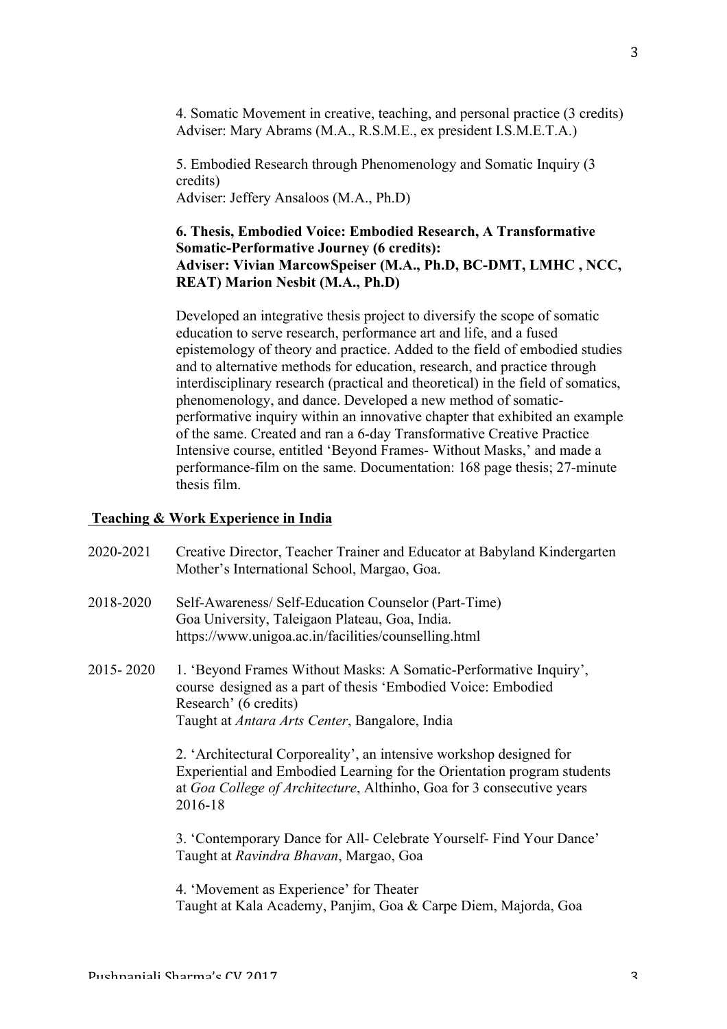4. Somatic Movement in creative, teaching, and personal practice (3 credits) Adviser: Mary Abrams (M.A., R.S.M.E., ex president I.S.M.E.T.A.)

5. Embodied Research through Phenomenology and Somatic Inquiry (3 credits) Adviser: Jeffery Ansaloos (M.A., Ph.D)

# **6. Thesis, Embodied Voice: Embodied Research, A Transformative Somatic-Performative Journey (6 credits): Adviser: Vivian MarcowSpeiser (M.A., Ph.D, BC-DMT, LMHC , NCC, REAT) Marion Nesbit (M.A., Ph.D)**

Developed an integrative thesis project to diversify the scope of somatic education to serve research, performance art and life, and a fused epistemology of theory and practice. Added to the field of embodied studies and to alternative methods for education, research, and practice through interdisciplinary research (practical and theoretical) in the field of somatics, phenomenology, and dance. Developed a new method of somaticperformative inquiry within an innovative chapter that exhibited an example of the same. Created and ran a 6-day Transformative Creative Practice Intensive course, entitled 'Beyond Frames- Without Masks,' and made a performance-film on the same. Documentation: 168 page thesis; 27-minute thesis film.

#### **Teaching & Work Experience in India**

- 2020-2021 Creative Director, Teacher Trainer and Educator at Babyland Kindergarten Mother's International School, Margao, Goa.
- 2018-2020 Self-Awareness/ Self-Education Counselor (Part-Time) Goa University, Taleigaon Plateau, Goa, India. https://www.unigoa.ac.in/facilities/counselling.html
- 2015- 2020 1. 'Beyond Frames Without Masks: A Somatic-Performative Inquiry', course designed as a part of thesis 'Embodied Voice: Embodied Research' (6 credits) Taught at *Antara Arts Center*, Bangalore, India

2. 'Architectural Corporeality', an intensive workshop designed for Experiential and Embodied Learning for the Orientation program students at *Goa College of Architecture*, Althinho, Goa for 3 consecutive years 2016-18

3. 'Contemporary Dance for All- Celebrate Yourself- Find Your Dance' Taught at *Ravindra Bhavan*, Margao, Goa

4. 'Movement as Experience' for Theater Taught at Kala Academy, Panjim, Goa & Carpe Diem, Majorda, Goa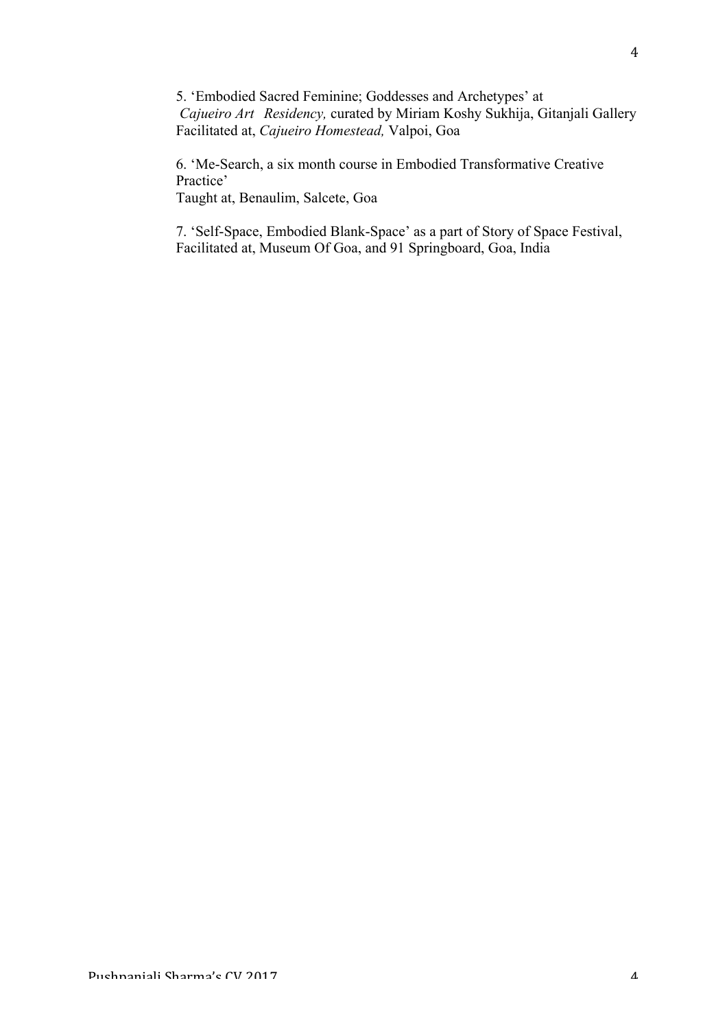5. 'Embodied Sacred Feminine; Goddesses and Archetypes' at *Cajueiro Art Residency,* curated by Miriam Koshy Sukhija, Gitanjali Gallery Facilitated at, *Cajueiro Homestead,* Valpoi, Goa

6. 'Me-Search, a six month course in Embodied Transformative Creative Practice'

Taught at, Benaulim, Salcete, Goa

7. 'Self-Space, Embodied Blank-Space' as a part of Story of Space Festival, Facilitated at, Museum Of Goa, and 91 Springboard, Goa, India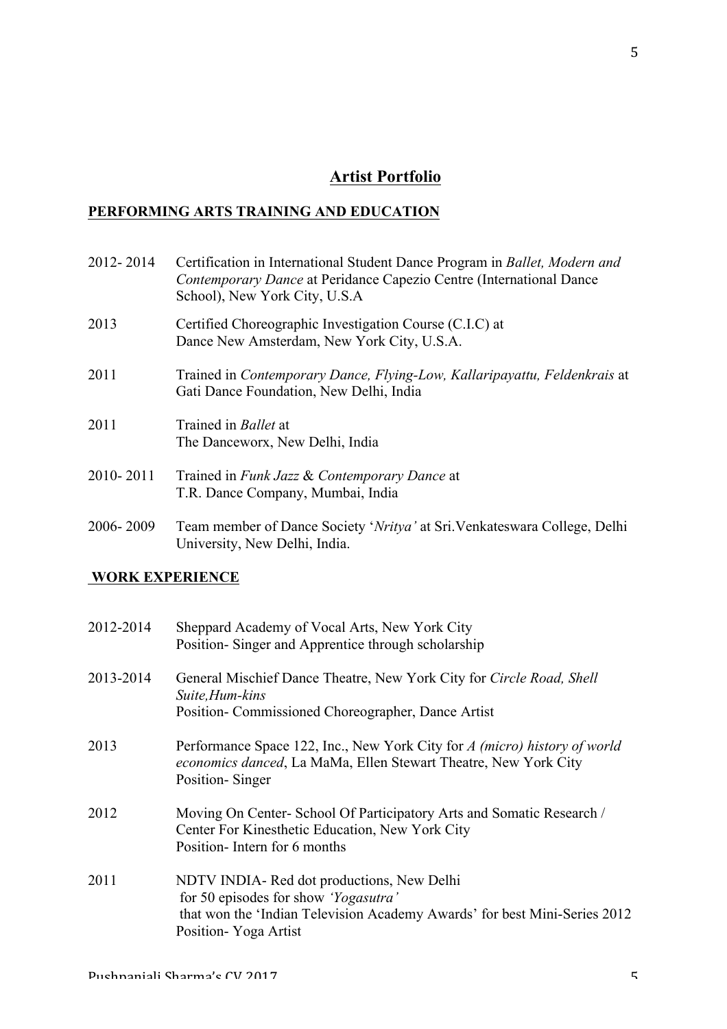# **Artist Portfolio**

## **PERFORMING ARTS TRAINING AND EDUCATION**

- 2012- 2014 Certification in International Student Dance Program in *Ballet, Modern and Contemporary Dance* at Peridance Capezio Centre (International Dance School), New York City, U.S.A 2013 Certified Choreographic Investigation Course (C.I.C) at Dance New Amsterdam, New York City, U.S.A. 2011 Trained in *Contemporary Dance, Flying-Low, Kallaripayattu, Feldenkrais* at Gati Dance Foundation, New Delhi, India 2011 Trained in *Ballet* at The Danceworx, New Delhi, India 2010- 2011 Trained in *Funk Jazz* & *Contemporary Dance* at T.R. Dance Company, Mumbai, India
- 2006- 2009 Team member of Dance Society '*Nritya'* at Sri.Venkateswara College, Delhi University, New Delhi, India.

## **WORK EXPERIENCE**

| 2012-2014 | Sheppard Academy of Vocal Arts, New York City<br>Position-Singer and Apprentice through scholarship                                                                                              |
|-----------|--------------------------------------------------------------------------------------------------------------------------------------------------------------------------------------------------|
| 2013-2014 | General Mischief Dance Theatre, New York City for Circle Road, Shell<br>Suite, Hum-kins<br>Position-Commissioned Choreographer, Dance Artist                                                     |
| 2013      | Performance Space 122, Inc., New York City for A (micro) history of world<br>economics danced, La MaMa, Ellen Stewart Theatre, New York City<br>Position-Singer                                  |
| 2012      | Moving On Center-School Of Participatory Arts and Somatic Research /<br>Center For Kinesthetic Education, New York City<br>Position-Intern for 6 months                                          |
| 2011      | NDTV INDIA- Red dot productions, New Delhi<br>for 50 episodes for show <i>'Yogasutra'</i><br>that won the 'Indian Television Academy Awards' for best Mini-Series 2012<br>Position - Yoga Artist |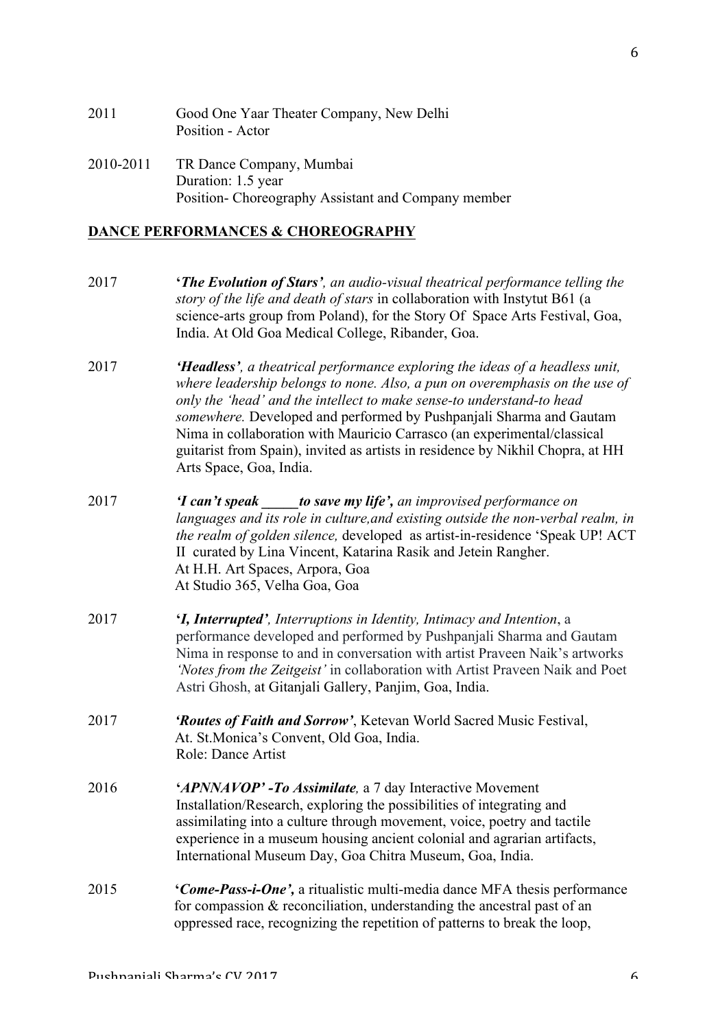| 2011      | Good One Yaar Theater Company, New Delhi<br>Position - Actor |
|-----------|--------------------------------------------------------------|
| 2010-2011 | TR Dance Company, Mumbai<br>Duration: 1.5 year               |
|           | Position-Choreography Assistant and Company member           |

#### **DANCE PERFORMANCES & CHOREOGRAPHY**

- 2017 **'***The Evolution of Stars', an audio-visual theatrical performance telling the story of the life and death of stars* in collaboration with Instytut B61 (a science-arts group from Poland), for the Story Of Space Arts Festival, Goa, India. At Old Goa Medical College, Ribander, Goa.
- 2017 *'Headless', a theatrical performance exploring the ideas of a headless unit, where leadership belongs to none. Also, a pun on overemphasis on the use of only the 'head' and the intellect to make sense-to understand-to head somewhere.* Developed and performed by Pushpanjali Sharma and Gautam Nima in collaboration with Mauricio Carrasco (an experimental/classical guitarist from Spain), invited as artists in residence by Nikhil Chopra, at HH Arts Space, Goa, India.
- 2017 *'I can't speak \_\_\_\_\_to save my life', an improvised performance on languages and its role in culture,and existing outside the non-verbal realm, in the realm of golden silence,* developed as artist-in-residence 'Speak UP! ACT II curated by Lina Vincent, Katarina Rasik and Jetein Rangher. At H.H. Art Spaces, Arpora, Goa At Studio 365, Velha Goa, Goa
- 2017 **'***I, Interrupted', Interruptions in Identity, Intimacy and Intention*, a performance developed and performed by Pushpanjali Sharma and Gautam Nima in response to and in conversation with artist Praveen Naik's artworks *'Notes from the Zeitgeist'* in collaboration with Artist Praveen Naik and Poet Astri Ghosh, at Gitanjali Gallery, Panjim, Goa, India.
- 2017 *'Routes of Faith and Sorrow'*, Ketevan World Sacred Music Festival, At. St.Monica's Convent, Old Goa, India. Role: Dance Artist
- 2016 **'***APNNAVOP' -To Assimilate,* a 7 day Interactive Movement Installation/Research, exploring the possibilities of integrating and assimilating into a culture through movement, voice, poetry and tactile experience in a museum housing ancient colonial and agrarian artifacts, International Museum Day, Goa Chitra Museum, Goa, India.
- 2015 **'***Come-Pass-i-One',* a ritualistic multi-media dance MFA thesis performance for compassion & reconciliation, understanding the ancestral past of an oppressed race, recognizing the repetition of patterns to break the loop,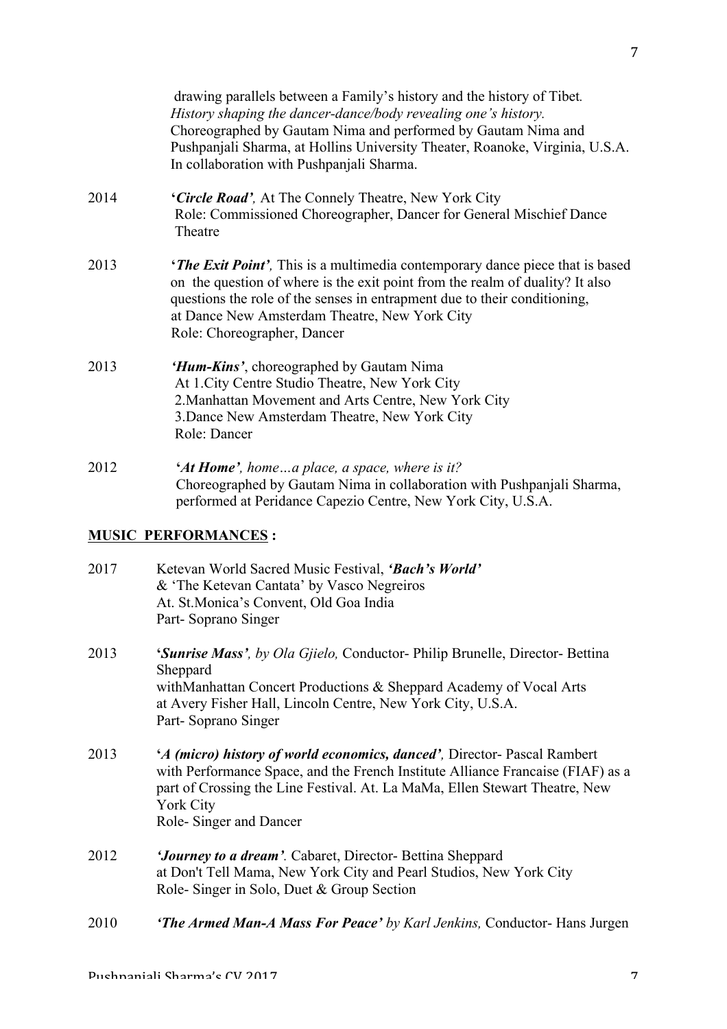drawing parallels between a Family's history and the history of Tibet*. History shaping the dancer-dance/body revealing one's history.* Choreographed by Gautam Nima and performed by Gautam Nima and Pushpanjali Sharma, at Hollins University Theater, Roanoke, Virginia, U.S.A. In collaboration with Pushpanjali Sharma.

- 2014 **'***Circle Road',* At The Connely Theatre, New York City Role: Commissioned Choreographer, Dancer for General Mischief Dance Theatre
- 2013 **'***The Exit Point',* This is a multimedia contemporary dance piece that is based on the question of where is the exit point from the realm of duality? It also questions the role of the senses in entrapment due to their conditioning, at Dance New Amsterdam Theatre, New York City Role: Choreographer, Dancer
- 2013 *'Hum-Kins'*, choreographed by Gautam Nima At 1.City Centre Studio Theatre, New York City 2.Manhattan Movement and Arts Centre, New York City 3.Dance New Amsterdam Theatre, New York City Role: Dancer
- 2012 **'***At Home', home…a place, a space, where is it?* Choreographed by Gautam Nima in collaboration with Pushpanjali Sharma, performed at Peridance Capezio Centre, New York City, U.S.A.

# **MUSIC PERFORMANCES :**

- 2017 Ketevan World Sacred Music Festival, *'Bach's World'* & 'The Ketevan Cantata' by Vasco Negreiros At. St.Monica's Convent, Old Goa India Part- Soprano Singer
- 2013 **'***Sunrise Mass', by Ola Gjielo,* Conductor- Philip Brunelle, Director- Bettina **Sheppard** withManhattan Concert Productions & Sheppard Academy of Vocal Arts at Avery Fisher Hall, Lincoln Centre, New York City, U.S.A. Part- Soprano Singer
- 2013 **'***A (micro) history of world economics, danced',* Director- Pascal Rambert with Performance Space, and the French Institute Alliance Francaise (FIAF) as a part of Crossing the Line Festival. At. La MaMa, Ellen Stewart Theatre, New York City Role- Singer and Dancer
- 2012 *'Journey to a dream'.* Cabaret, Director- Bettina Sheppard at Don't Tell Mama, New York City and Pearl Studios, New York City Role- Singer in Solo, Duet & Group Section
- 2010 *'The Armed Man-A Mass For Peace' by Karl Jenkins,* Conductor- Hans Jurgen